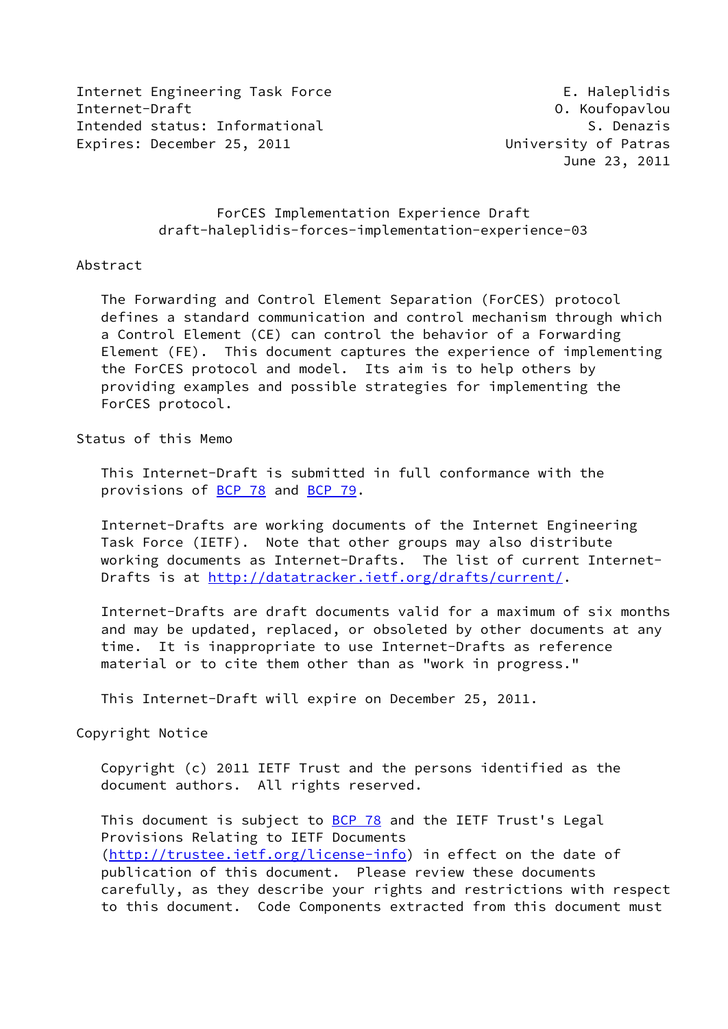Internet Engineering Task Force The E. Haleplidis Internet-Draft O. Koufopavlou Intended status: Informational S. Denazis Expires: December 25, 2011 University of Patras

June 23, 2011

## ForCES Implementation Experience Draft draft-haleplidis-forces-implementation-experience-03

## Abstract

 The Forwarding and Control Element Separation (ForCES) protocol defines a standard communication and control mechanism through which a Control Element (CE) can control the behavior of a Forwarding Element (FE). This document captures the experience of implementing the ForCES protocol and model. Its aim is to help others by providing examples and possible strategies for implementing the ForCES protocol.

## Status of this Memo

 This Internet-Draft is submitted in full conformance with the provisions of **BCP 78** and **BCP 79**.

 Internet-Drafts are working documents of the Internet Engineering Task Force (IETF). Note that other groups may also distribute working documents as Internet-Drafts. The list of current Internet Drafts is at<http://datatracker.ietf.org/drafts/current/>.

 Internet-Drafts are draft documents valid for a maximum of six months and may be updated, replaced, or obsoleted by other documents at any time. It is inappropriate to use Internet-Drafts as reference material or to cite them other than as "work in progress."

This Internet-Draft will expire on December 25, 2011.

Copyright Notice

 Copyright (c) 2011 IETF Trust and the persons identified as the document authors. All rights reserved.

This document is subject to **[BCP 78](https://datatracker.ietf.org/doc/pdf/bcp78)** and the IETF Trust's Legal Provisions Relating to IETF Documents [\(http://trustee.ietf.org/license-info](http://trustee.ietf.org/license-info)) in effect on the date of publication of this document. Please review these documents carefully, as they describe your rights and restrictions with respect to this document. Code Components extracted from this document must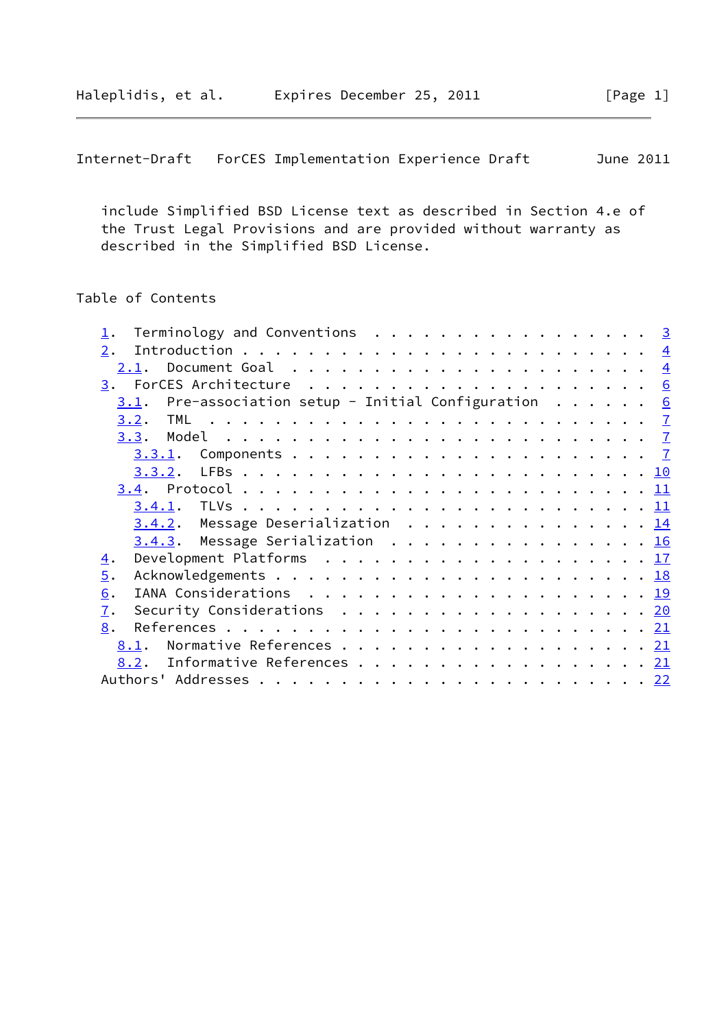```
Internet-Draft ForCES Implementation Experience Draft June 2011
```
 include Simplified BSD License text as described in Section 4.e of the Trust Legal Provisions and are provided without warranty as described in the Simplified BSD License.

# Table of Contents

| Terminology and Conventions $\cdot \cdot \cdot \cdot \cdot \cdot \cdot \cdot \cdot \cdot \cdot \cdot \cdot \cdot \cdot \cdot \cdot \cdot 3$ |  |
|---------------------------------------------------------------------------------------------------------------------------------------------|--|
| 2.                                                                                                                                          |  |
| Document Goal $\ldots \ldots \ldots \ldots \ldots \ldots \ldots$<br>2.1.                                                                    |  |
|                                                                                                                                             |  |
| Pre-association setup - Initial Configuration $\ldots \ldots$ 6<br>3.1.                                                                     |  |
|                                                                                                                                             |  |
| 3.3.                                                                                                                                        |  |
| 3.3.1.                                                                                                                                      |  |
|                                                                                                                                             |  |
|                                                                                                                                             |  |
|                                                                                                                                             |  |
| 3.4.2. Message Deserialization 14                                                                                                           |  |
| 3.4.3. Message Serialization 16                                                                                                             |  |
| Development Platforms $\ldots \ldots \ldots \ldots \ldots \ldots \ldots \frac{17}{17}$<br>$\overline{4}$ .                                  |  |
| $\overline{5}$ .                                                                                                                            |  |
| 6.                                                                                                                                          |  |
| Security Considerations $\ldots \ldots \ldots \ldots \ldots \ldots \ldots \frac{20}{20}$<br>7.                                              |  |
| 8.                                                                                                                                          |  |
| Normative References 21<br>8.1.                                                                                                             |  |
| 8.2. Informative References 21                                                                                                              |  |
|                                                                                                                                             |  |
|                                                                                                                                             |  |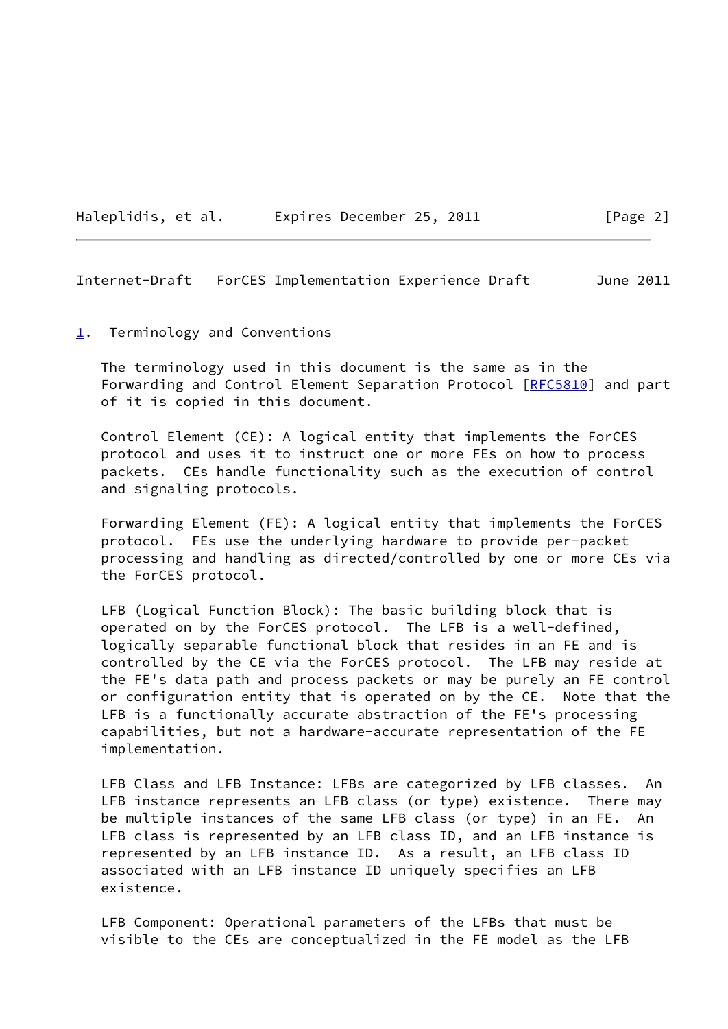<span id="page-2-1"></span>

|  | Haleplidis, et al. |  |  | Expires December 25, 2011 |  |  |
|--|--------------------|--|--|---------------------------|--|--|
|--|--------------------|--|--|---------------------------|--|--|

#### <span id="page-2-0"></span>[1](#page-2-0). Terminology and Conventions

 The terminology used in this document is the same as in the Forwarding and Control Element Separation Protocol [[RFC5810\]](https://datatracker.ietf.org/doc/pdf/rfc5810) and part of it is copied in this document.

 Control Element (CE): A logical entity that implements the ForCES protocol and uses it to instruct one or more FEs on how to process packets. CEs handle functionality such as the execution of control and signaling protocols.

 Forwarding Element (FE): A logical entity that implements the ForCES protocol. FEs use the underlying hardware to provide per-packet processing and handling as directed/controlled by one or more CEs via the ForCES protocol.

 LFB (Logical Function Block): The basic building block that is operated on by the ForCES protocol. The LFB is a well-defined, logically separable functional block that resides in an FE and is controlled by the CE via the ForCES protocol. The LFB may reside at the FE's data path and process packets or may be purely an FE control or configuration entity that is operated on by the CE. Note that the LFB is a functionally accurate abstraction of the FE's processing capabilities, but not a hardware-accurate representation of the FE implementation.

 LFB Class and LFB Instance: LFBs are categorized by LFB classes. An LFB instance represents an LFB class (or type) existence. There may be multiple instances of the same LFB class (or type) in an FE. An LFB class is represented by an LFB class ID, and an LFB instance is represented by an LFB instance ID. As a result, an LFB class ID associated with an LFB instance ID uniquely specifies an LFB existence.

 LFB Component: Operational parameters of the LFBs that must be visible to the CEs are conceptualized in the FE model as the LFB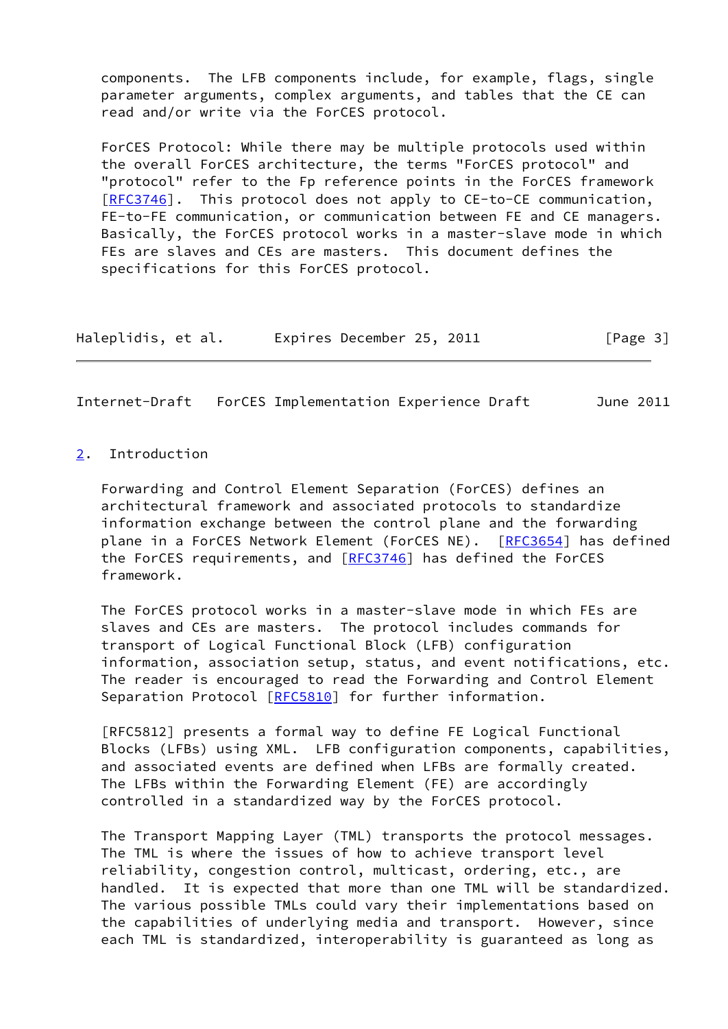components. The LFB components include, for example, flags, single parameter arguments, complex arguments, and tables that the CE can read and/or write via the ForCES protocol.

 ForCES Protocol: While there may be multiple protocols used within the overall ForCES architecture, the terms "ForCES protocol" and "protocol" refer to the Fp reference points in the ForCES framework [\[RFC3746](https://datatracker.ietf.org/doc/pdf/rfc3746)]. This protocol does not apply to CE-to-CE communication, FE-to-FE communication, or communication between FE and CE managers. Basically, the ForCES protocol works in a master-slave mode in which FEs are slaves and CEs are masters. This document defines the specifications for this ForCES protocol.

| Haleplidis, et al. | Expires December 25, 2011 | [Page 3] |
|--------------------|---------------------------|----------|
|--------------------|---------------------------|----------|

<span id="page-3-1"></span>Internet-Draft ForCES Implementation Experience Draft June 2011

<span id="page-3-0"></span>[2](#page-3-0). Introduction

 Forwarding and Control Element Separation (ForCES) defines an architectural framework and associated protocols to standardize information exchange between the control plane and the forwarding plane in a ForCES Network Element (ForCES NE). [\[RFC3654](https://datatracker.ietf.org/doc/pdf/rfc3654)] has defined the ForCES requirements, and [\[RFC3746](https://datatracker.ietf.org/doc/pdf/rfc3746)] has defined the ForCES framework.

 The ForCES protocol works in a master-slave mode in which FEs are slaves and CEs are masters. The protocol includes commands for transport of Logical Functional Block (LFB) configuration information, association setup, status, and event notifications, etc. The reader is encouraged to read the Forwarding and Control Element Separation Protocol [\[RFC5810](https://datatracker.ietf.org/doc/pdf/rfc5810)] for further information.

 [RFC5812] presents a formal way to define FE Logical Functional Blocks (LFBs) using XML. LFB configuration components, capabilities, and associated events are defined when LFBs are formally created. The LFBs within the Forwarding Element (FE) are accordingly controlled in a standardized way by the ForCES protocol.

 The Transport Mapping Layer (TML) transports the protocol messages. The TML is where the issues of how to achieve transport level reliability, congestion control, multicast, ordering, etc., are handled. It is expected that more than one TML will be standardized. The various possible TMLs could vary their implementations based on the capabilities of underlying media and transport. However, since each TML is standardized, interoperability is guaranteed as long as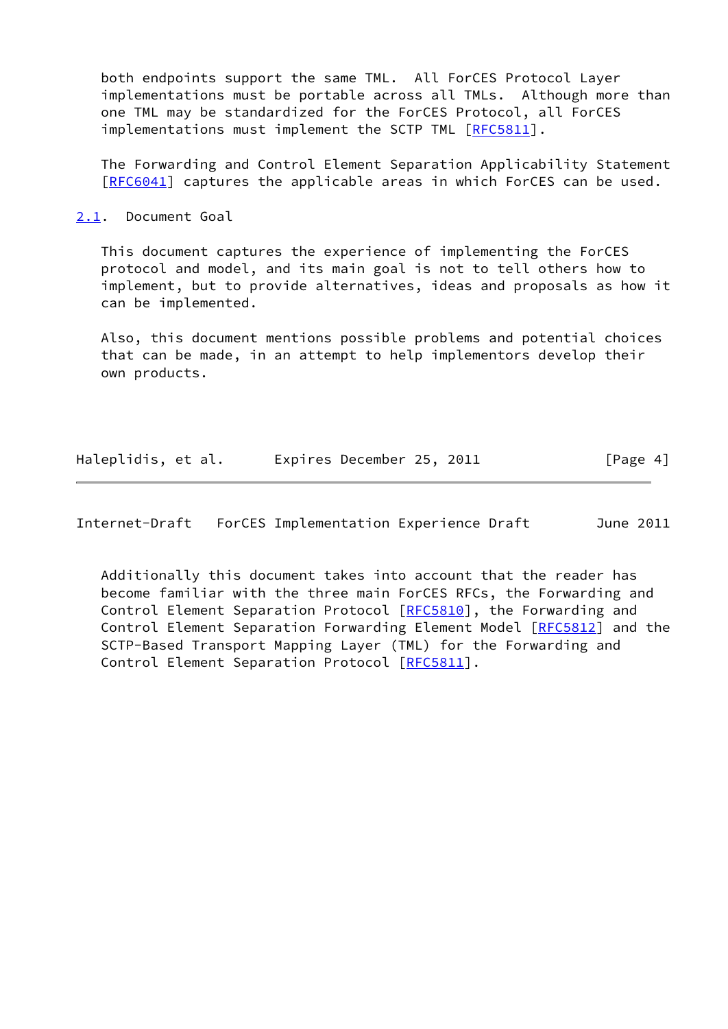both endpoints support the same TML. All ForCES Protocol Layer implementations must be portable across all TMLs. Although more than one TML may be standardized for the ForCES Protocol, all ForCES implementations must implement the SCTP TML [\[RFC5811](https://datatracker.ietf.org/doc/pdf/rfc5811)].

 The Forwarding and Control Element Separation Applicability Statement [\[RFC6041](https://datatracker.ietf.org/doc/pdf/rfc6041)] captures the applicable areas in which ForCES can be used.

<span id="page-4-0"></span>[2.1](#page-4-0). Document Goal

 This document captures the experience of implementing the ForCES protocol and model, and its main goal is not to tell others how to implement, but to provide alternatives, ideas and proposals as how it can be implemented.

 Also, this document mentions possible problems and potential choices that can be made, in an attempt to help implementors develop their own products.

| Haleplidis, et al. |  | Expires December 25, 2011 | [Page 4] |  |
|--------------------|--|---------------------------|----------|--|
|                    |  |                           |          |  |

Internet-Draft ForCES Implementation Experience Draft June 2011

 Additionally this document takes into account that the reader has become familiar with the three main ForCES RFCs, the Forwarding and Control Element Separation Protocol [\[RFC5810](https://datatracker.ietf.org/doc/pdf/rfc5810)], the Forwarding and Control Element Separation Forwarding Element Model [\[RFC5812](https://datatracker.ietf.org/doc/pdf/rfc5812)] and the SCTP-Based Transport Mapping Layer (TML) for the Forwarding and Control Element Separation Protocol [\[RFC5811](https://datatracker.ietf.org/doc/pdf/rfc5811)].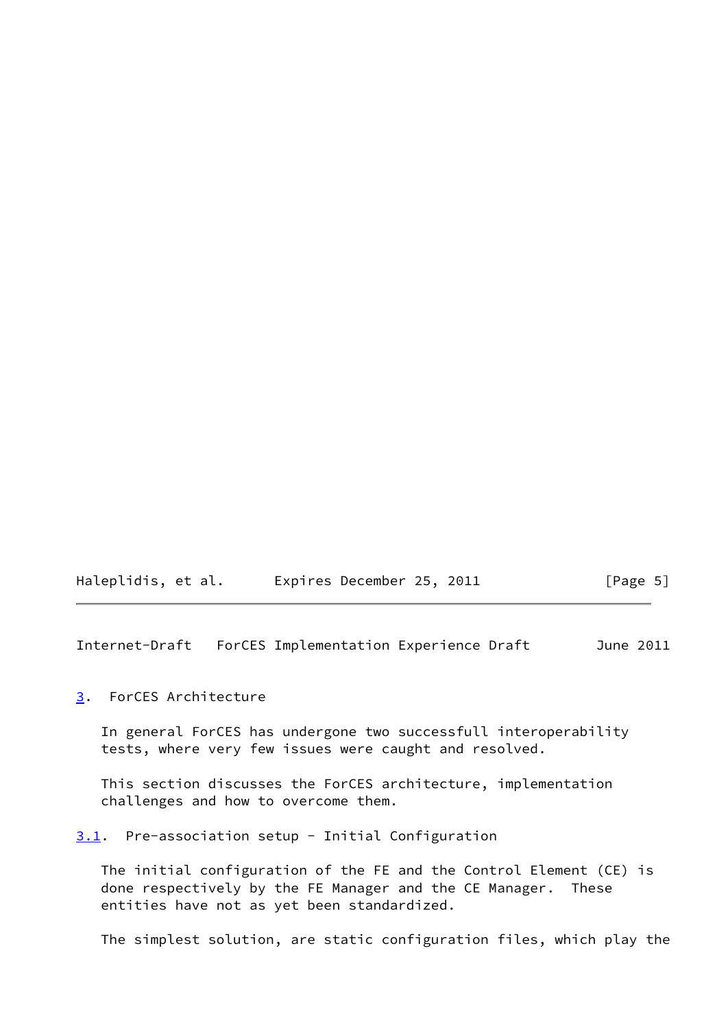<span id="page-5-1"></span>

| Haleplidis, et al. | Expires December 25, 2011 | [Page 5] |
|--------------------|---------------------------|----------|
|--------------------|---------------------------|----------|

## <span id="page-5-0"></span>[3](#page-5-0). ForCES Architecture

 In general ForCES has undergone two successfull interoperability tests, where very few issues were caught and resolved.

 This section discusses the ForCES architecture, implementation challenges and how to overcome them.

## <span id="page-5-2"></span>[3.1](#page-5-2). Pre-association setup - Initial Configuration

 The initial configuration of the FE and the Control Element (CE) is done respectively by the FE Manager and the CE Manager. These entities have not as yet been standardized.

The simplest solution, are static configuration files, which play the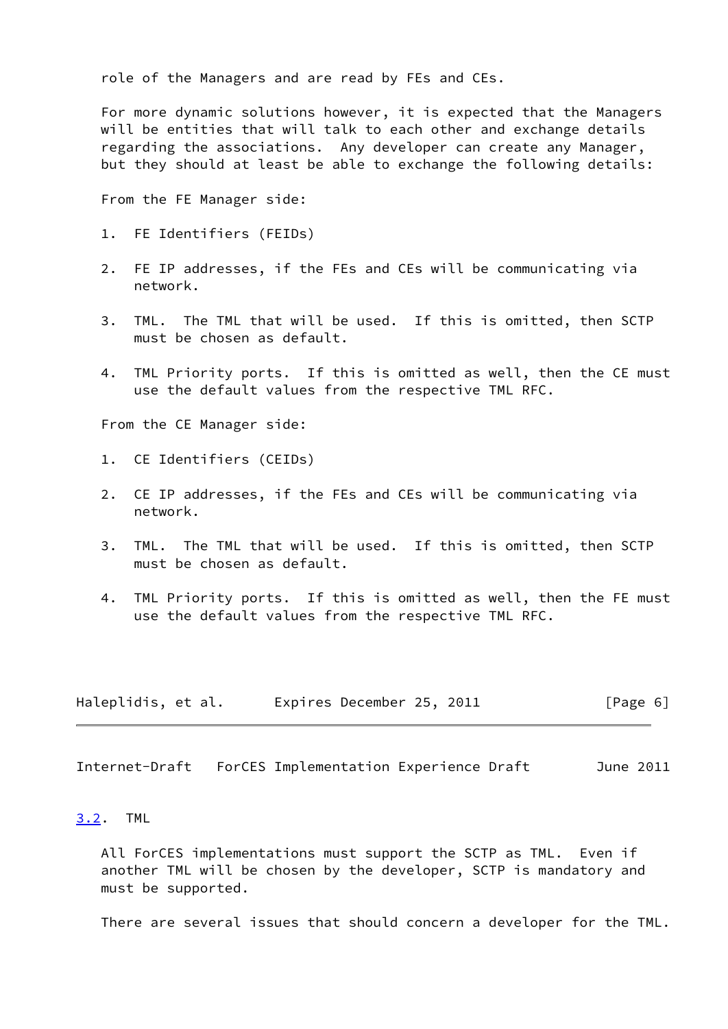role of the Managers and are read by FEs and CEs.

 For more dynamic solutions however, it is expected that the Managers will be entities that will talk to each other and exchange details regarding the associations. Any developer can create any Manager, but they should at least be able to exchange the following details:

From the FE Manager side:

- 1. FE Identifiers (FEIDs)
- 2. FE IP addresses, if the FEs and CEs will be communicating via network.
- 3. TML. The TML that will be used. If this is omitted, then SCTP must be chosen as default.
- 4. TML Priority ports. If this is omitted as well, then the CE must use the default values from the respective TML RFC.

From the CE Manager side:

- 1. CE Identifiers (CEIDs)
- 2. CE IP addresses, if the FEs and CEs will be communicating via network.
- 3. TML. The TML that will be used. If this is omitted, then SCTP must be chosen as default.
- 4. TML Priority ports. If this is omitted as well, then the FE must use the default values from the respective TML RFC.

| Haleplidis, et al. | Expires December 25, 2011 |  | [Page 6] |
|--------------------|---------------------------|--|----------|
|--------------------|---------------------------|--|----------|

<span id="page-6-1"></span>Internet-Draft ForCES Implementation Experience Draft June 2011

#### <span id="page-6-0"></span>[3.2](#page-6-0). TML

 All ForCES implementations must support the SCTP as TML. Even if another TML will be chosen by the developer, SCTP is mandatory and must be supported.

There are several issues that should concern a developer for the TML.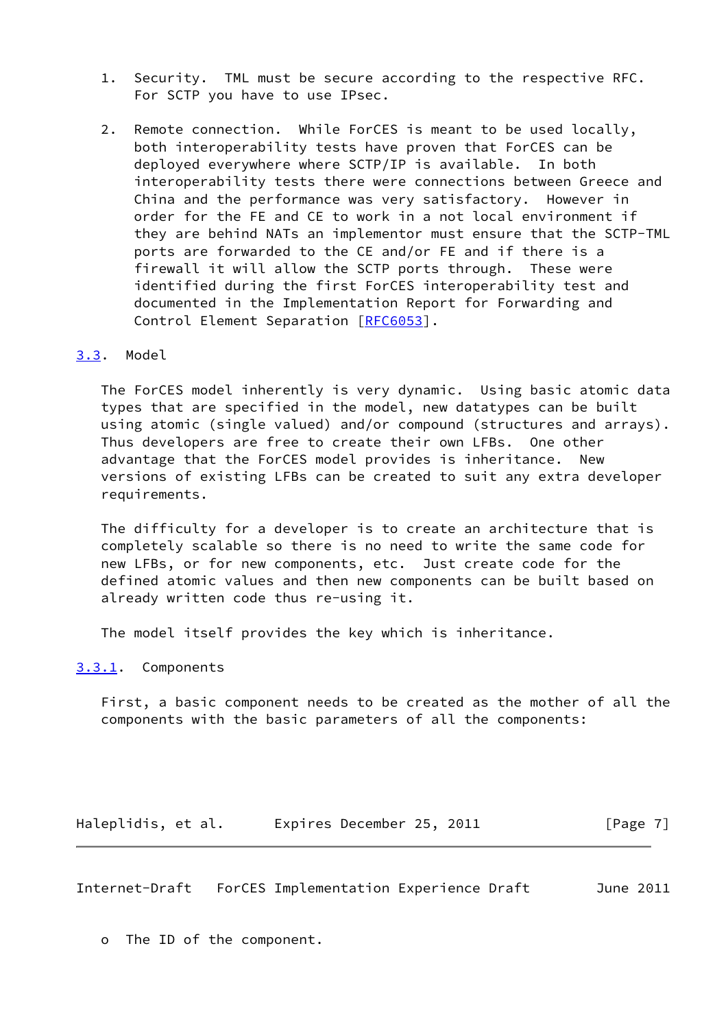- 1. Security. TML must be secure according to the respective RFC. For SCTP you have to use IPsec.
- 2. Remote connection. While ForCES is meant to be used locally, both interoperability tests have proven that ForCES can be deployed everywhere where SCTP/IP is available. In both interoperability tests there were connections between Greece and China and the performance was very satisfactory. However in order for the FE and CE to work in a not local environment if they are behind NATs an implementor must ensure that the SCTP-TML ports are forwarded to the CE and/or FE and if there is a firewall it will allow the SCTP ports through. These were identified during the first ForCES interoperability test and documented in the Implementation Report for Forwarding and Control Element Separation [\[RFC6053](https://datatracker.ietf.org/doc/pdf/rfc6053)].

### <span id="page-7-0"></span>[3.3](#page-7-0). Model

 The ForCES model inherently is very dynamic. Using basic atomic data types that are specified in the model, new datatypes can be built using atomic (single valued) and/or compound (structures and arrays). Thus developers are free to create their own LFBs. One other advantage that the ForCES model provides is inheritance. New versions of existing LFBs can be created to suit any extra developer requirements.

 The difficulty for a developer is to create an architecture that is completely scalable so there is no need to write the same code for new LFBs, or for new components, etc. Just create code for the defined atomic values and then new components can be built based on already written code thus re-using it.

The model itself provides the key which is inheritance.

## <span id="page-7-1"></span>[3.3.1](#page-7-1). Components

 First, a basic component needs to be created as the mother of all the components with the basic parameters of all the components:

Haleplidis, et al. Expires December 25, 2011 [Page 7]

Internet-Draft ForCES Implementation Experience Draft June 2011

o The ID of the component.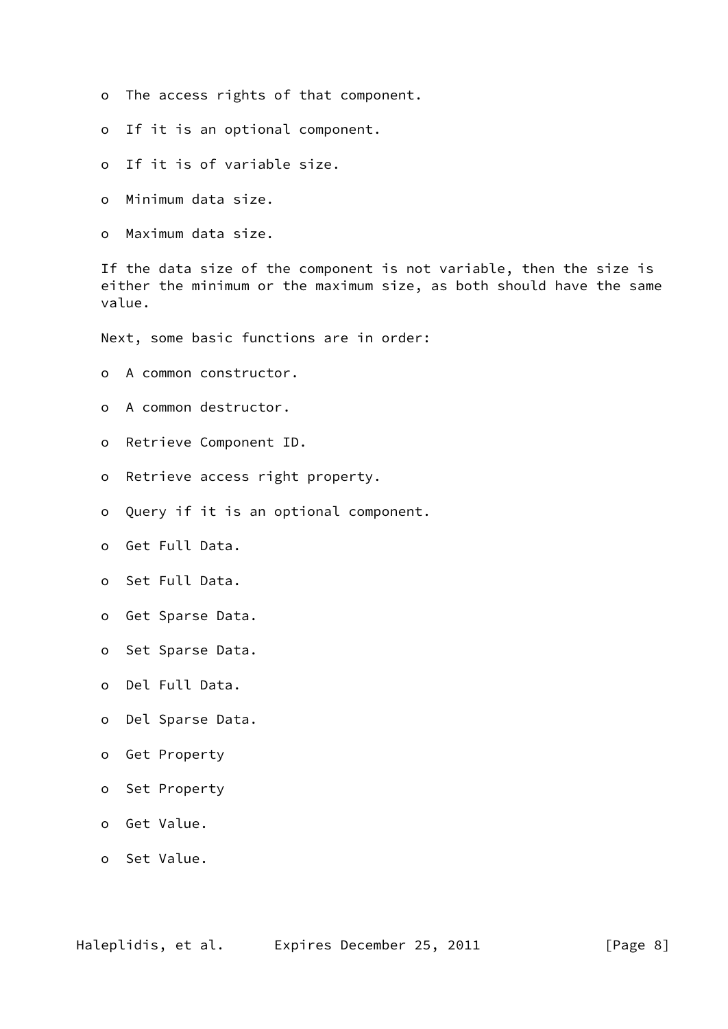- o The access rights of that component.
- o If it is an optional component.
- o If it is of variable size.
- o Minimum data size.
- o Maximum data size.

 If the data size of the component is not variable, then the size is either the minimum or the maximum size, as both should have the same value.

Next, some basic functions are in order:

- o A common constructor.
- o A common destructor.
- o Retrieve Component ID.
- o Retrieve access right property.
- o Query if it is an optional component.
- o Get Full Data.
- o Set Full Data.
- o Get Sparse Data.
- o Set Sparse Data.
- o Del Full Data.
- o Del Sparse Data.
- o Get Property
- o Set Property
- o Get Value.
- o Set Value.

Haleplidis, et al. Expires December 25, 2011 [Page 8]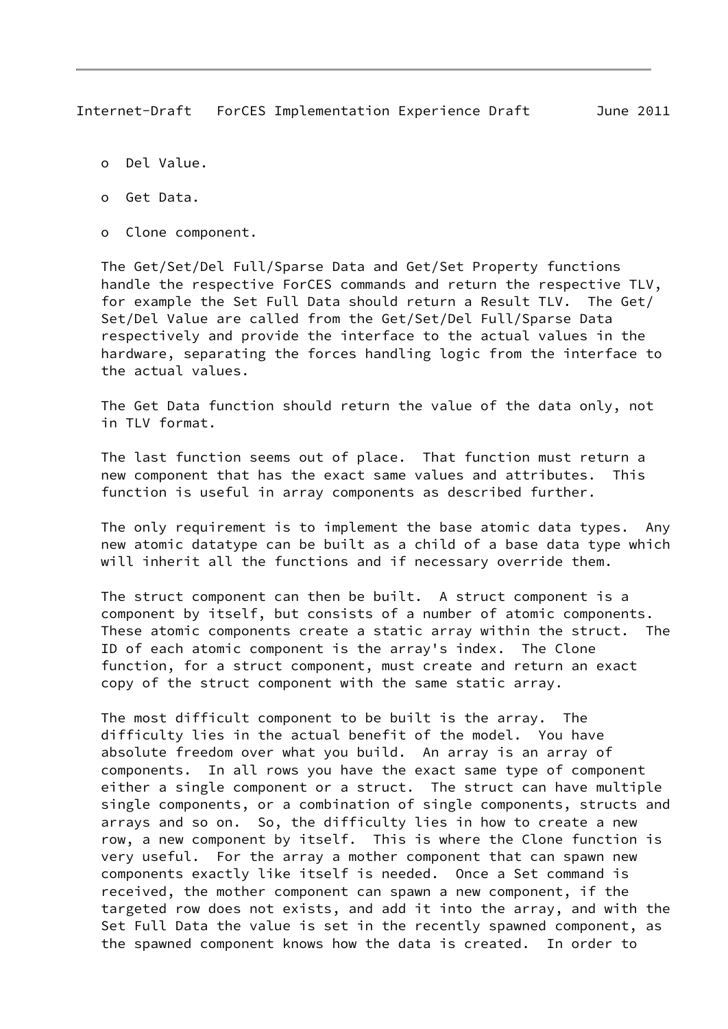- o Del Value.
- o Get Data.
- o Clone component.

 The Get/Set/Del Full/Sparse Data and Get/Set Property functions handle the respective ForCES commands and return the respective TLV, for example the Set Full Data should return a Result TLV. The Get/ Set/Del Value are called from the Get/Set/Del Full/Sparse Data respectively and provide the interface to the actual values in the hardware, separating the forces handling logic from the interface to the actual values.

 The Get Data function should return the value of the data only, not in TLV format.

 The last function seems out of place. That function must return a new component that has the exact same values and attributes. This function is useful in array components as described further.

 The only requirement is to implement the base atomic data types. Any new atomic datatype can be built as a child of a base data type which will inherit all the functions and if necessary override them.

 The struct component can then be built. A struct component is a component by itself, but consists of a number of atomic components. These atomic components create a static array within the struct. The ID of each atomic component is the array's index. The Clone function, for a struct component, must create and return an exact copy of the struct component with the same static array.

 The most difficult component to be built is the array. The difficulty lies in the actual benefit of the model. You have absolute freedom over what you build. An array is an array of components. In all rows you have the exact same type of component either a single component or a struct. The struct can have multiple single components, or a combination of single components, structs and arrays and so on. So, the difficulty lies in how to create a new row, a new component by itself. This is where the Clone function is very useful. For the array a mother component that can spawn new components exactly like itself is needed. Once a Set command is received, the mother component can spawn a new component, if the targeted row does not exists, and add it into the array, and with the Set Full Data the value is set in the recently spawned component, as the spawned component knows how the data is created. In order to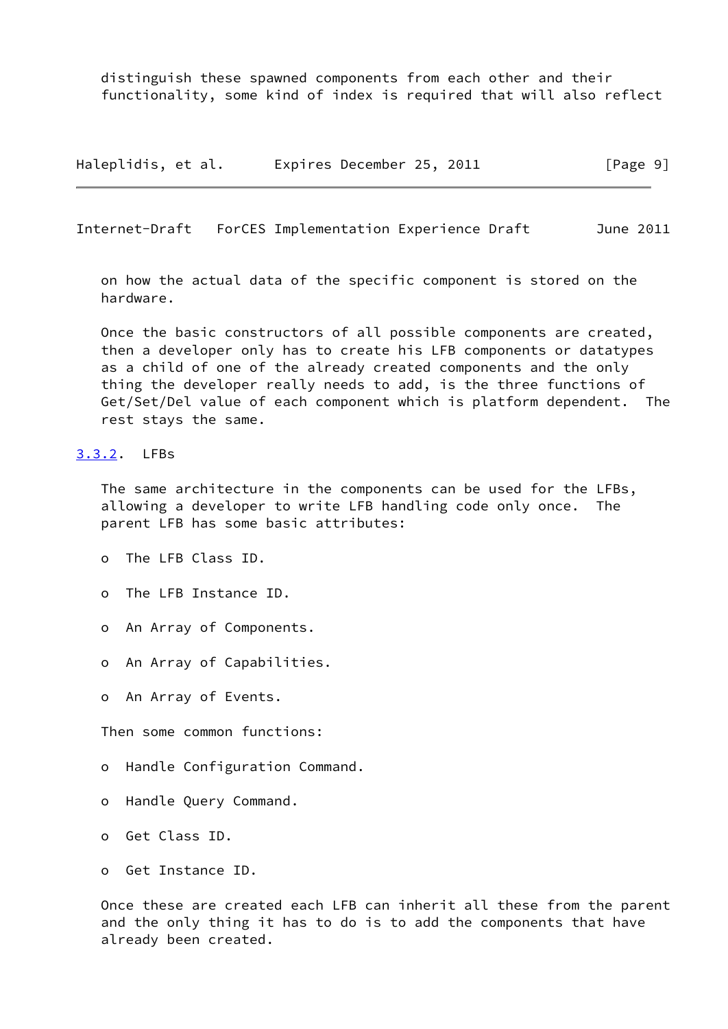distinguish these spawned components from each other and their functionality, some kind of index is required that will also reflect

Haleplidis, et al. Expires December 25, 2011 [Page 9]

<span id="page-10-1"></span>Internet-Draft ForCES Implementation Experience Draft June 2011

 on how the actual data of the specific component is stored on the hardware.

 Once the basic constructors of all possible components are created, then a developer only has to create his LFB components or datatypes as a child of one of the already created components and the only thing the developer really needs to add, is the three functions of Get/Set/Del value of each component which is platform dependent. The rest stays the same.

#### <span id="page-10-0"></span>[3.3.2](#page-10-0). LFBs

 The same architecture in the components can be used for the LFBs, allowing a developer to write LFB handling code only once. The parent LFB has some basic attributes:

- o The LFB Class ID.
- o The LFB Instance ID.
- o An Array of Components.
- o An Array of Capabilities.
- o An Array of Events.

Then some common functions:

- o Handle Configuration Command.
- o Handle Query Command.
- o Get Class ID.
- o Get Instance ID.

 Once these are created each LFB can inherit all these from the parent and the only thing it has to do is to add the components that have already been created.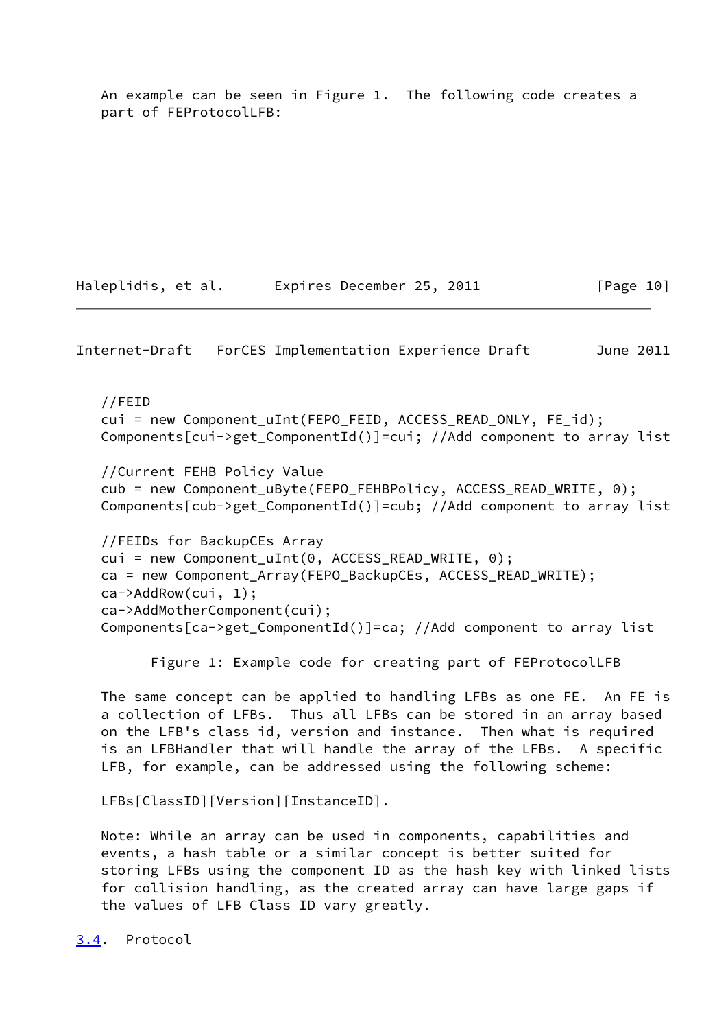An example can be seen in Figure 1. The following code creates a part of FEProtocolLFB:

Haleplidis, et al. Expires December 25, 2011 [Page 10]

<span id="page-11-1"></span>Internet-Draft ForCES Implementation Experience Draft June 2011

 //FEID cui = new Component\_uInt(FEPO\_FEID, ACCESS\_READ\_ONLY, FE\_id); Components[cui->get\_ComponentId()]=cui; //Add component to array list //Current FEHB Policy Value cub = new Component\_uByte(FEPO\_FEHBPolicy, ACCESS\_READ\_WRITE, 0);

Components[cub->get\_ComponentId()]=cub; //Add component to array list

 //FEIDs for BackupCEs Array cui = new Component\_uInt(0, ACCESS\_READ\_WRITE, 0); ca = new Component\_Array(FEPO\_BackupCEs, ACCESS\_READ\_WRITE); ca->AddRow(cui, 1); ca->AddMotherComponent(cui); Components[ca->get\_ComponentId()]=ca; //Add component to array list

Figure 1: Example code for creating part of FEProtocolLFB

 The same concept can be applied to handling LFBs as one FE. An FE is a collection of LFBs. Thus all LFBs can be stored in an array based on the LFB's class id, version and instance. Then what is required is an LFBHandler that will handle the array of the LFBs. A specific LFB, for example, can be addressed using the following scheme:

LFBs[ClassID][Version][InstanceID].

 Note: While an array can be used in components, capabilities and events, a hash table or a similar concept is better suited for storing LFBs using the component ID as the hash key with linked lists for collision handling, as the created array can have large gaps if the values of LFB Class ID vary greatly.

<span id="page-11-0"></span>[3.4](#page-11-0). Protocol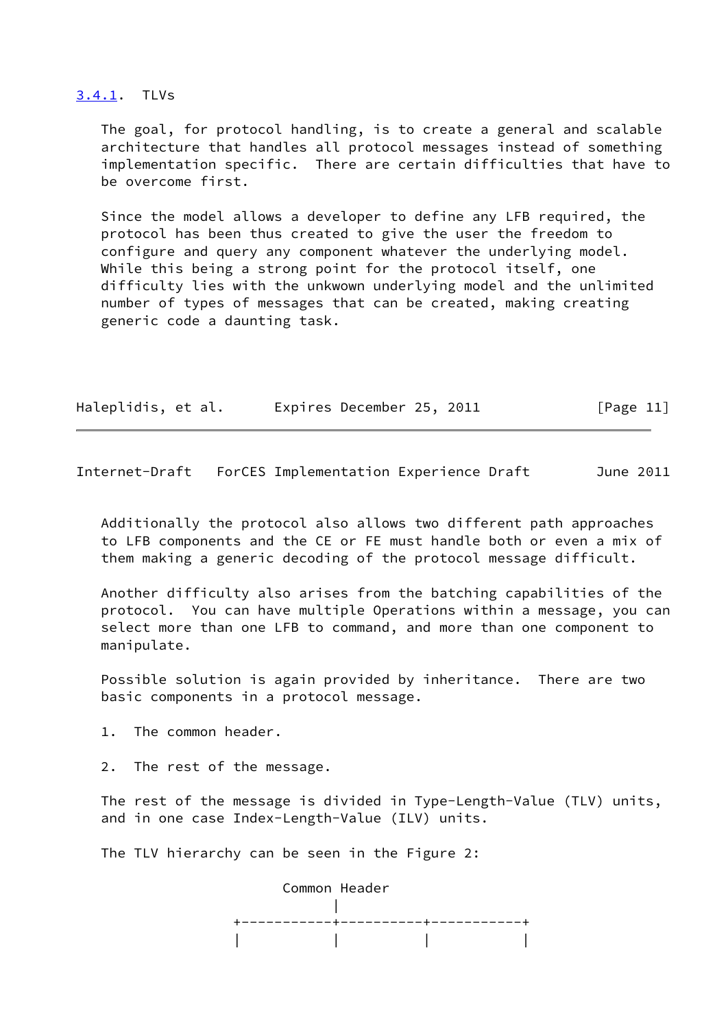#### <span id="page-12-0"></span>[3.4.1](#page-12-0). TLVs

 The goal, for protocol handling, is to create a general and scalable architecture that handles all protocol messages instead of something implementation specific. There are certain difficulties that have to be overcome first.

 Since the model allows a developer to define any LFB required, the protocol has been thus created to give the user the freedom to configure and query any component whatever the underlying model. While this being a strong point for the protocol itself, one difficulty lies with the unkwown underlying model and the unlimited number of types of messages that can be created, making creating generic code a daunting task.

| Haleplidis, et al. | Expires December 25, 2011 | [Page 11] |
|--------------------|---------------------------|-----------|
|                    |                           |           |

Internet-Draft ForCES Implementation Experience Draft June 2011

 Additionally the protocol also allows two different path approaches to LFB components and the CE or FE must handle both or even a mix of them making a generic decoding of the protocol message difficult.

 Another difficulty also arises from the batching capabilities of the protocol. You can have multiple Operations within a message, you can select more than one LFB to command, and more than one component to manipulate.

 Possible solution is again provided by inheritance. There are two basic components in a protocol message.

1. The common header.

2. The rest of the message.

 The rest of the message is divided in Type-Length-Value (TLV) units, and in one case Index-Length-Value (ILV) units.

The TLV hierarchy can be seen in the Figure 2:

 Common Header | +-----------+----------+-----------+ | | | |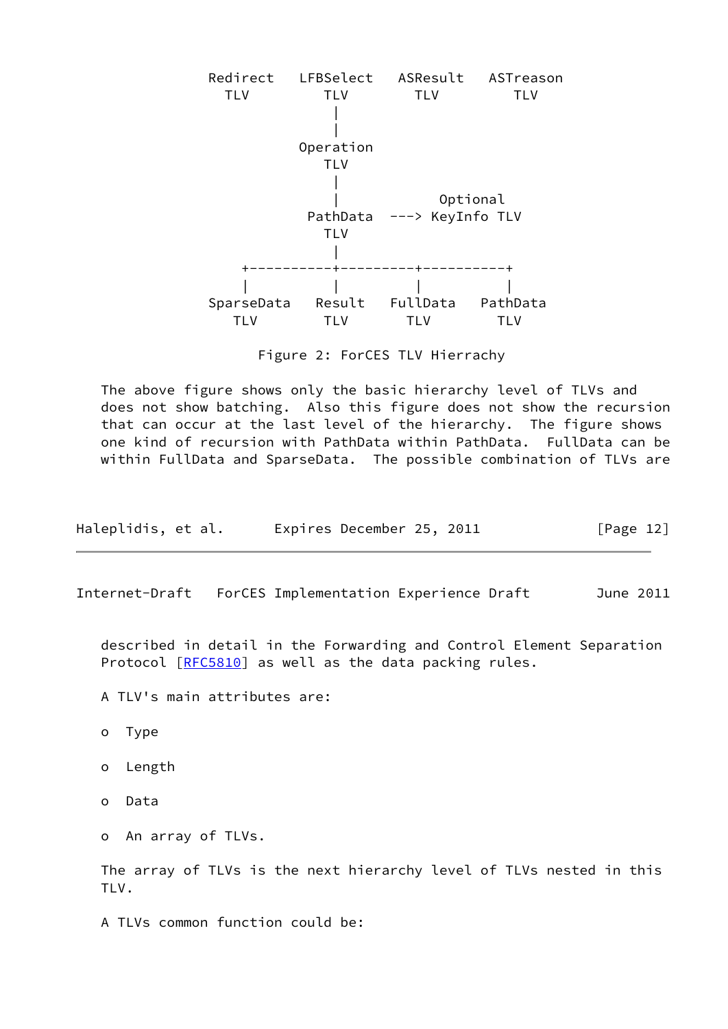

Figure 2: ForCES TLV Hierrachy

 The above figure shows only the basic hierarchy level of TLVs and does not show batching. Also this figure does not show the recursion that can occur at the last level of the hierarchy. The figure shows one kind of recursion with PathData within PathData. FullData can be within FullData and SparseData. The possible combination of TLVs are

| Haleplidis, et al. | Expires December 25, 2011 | [Page 12] |
|--------------------|---------------------------|-----------|
|--------------------|---------------------------|-----------|

Internet-Draft ForCES Implementation Experience Draft June 2011

 described in detail in the Forwarding and Control Element Separation Protocol [\[RFC5810](https://datatracker.ietf.org/doc/pdf/rfc5810)] as well as the data packing rules.

- A TLV's main attributes are:
- o Type
- o Length
- o Data
- o An array of TLVs.

 The array of TLVs is the next hierarchy level of TLVs nested in this TLV.

A TLVs common function could be: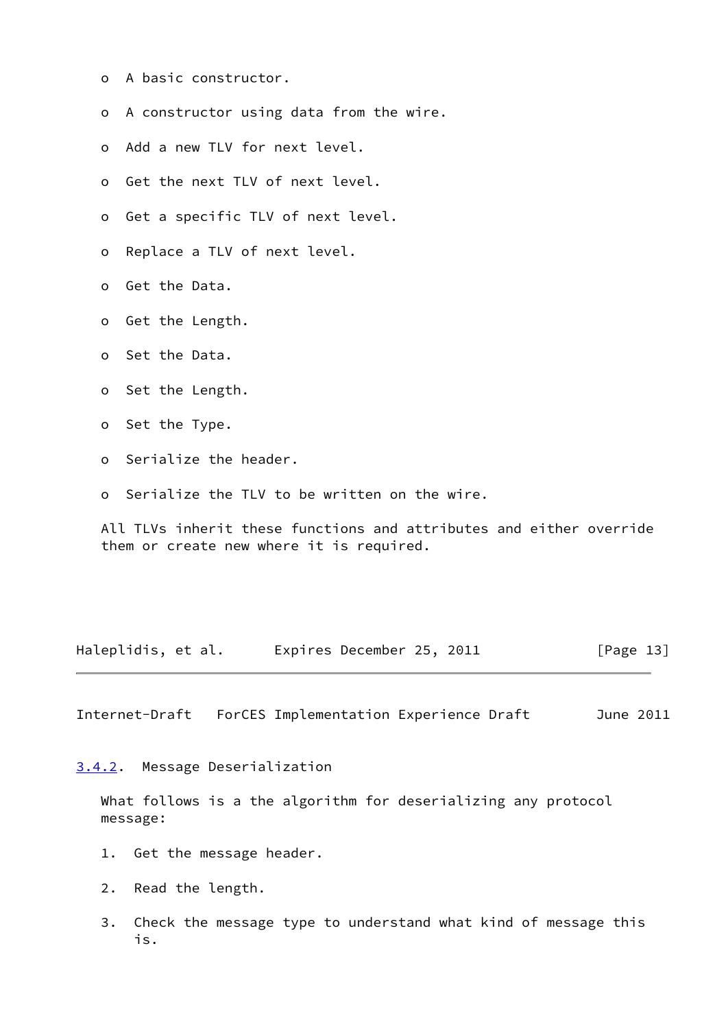- o A basic constructor.
- o A constructor using data from the wire.
- o Add a new TLV for next level.
- o Get the next TLV of next level.
- o Get a specific TLV of next level.
- o Replace a TLV of next level.
- o Get the Data.
- o Get the Length.
- o Set the Data.
- o Set the Length.
- o Set the Type.
- o Serialize the header.
- o Serialize the TLV to be written on the wire.

 All TLVs inherit these functions and attributes and either override them or create new where it is required.

Haleplidis, et al. Expires December 25, 2011 [Page 13]

<span id="page-14-1"></span>Internet-Draft ForCES Implementation Experience Draft June 2011

<span id="page-14-0"></span>[3.4.2](#page-14-0). Message Deserialization

 What follows is a the algorithm for deserializing any protocol message:

- 1. Get the message header.
- 2. Read the length.
- 3. Check the message type to understand what kind of message this is.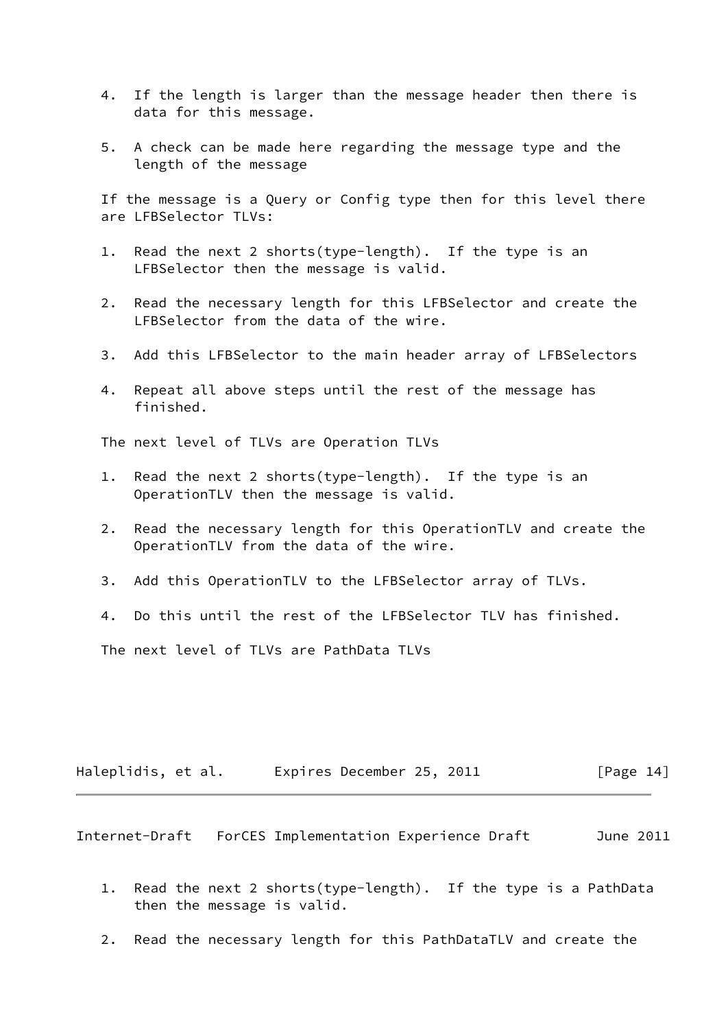- 4. If the length is larger than the message header then there is data for this message.
- 5. A check can be made here regarding the message type and the length of the message

 If the message is a Query or Config type then for this level there are LFBSelector TLVs:

- 1. Read the next 2 shorts(type-length). If the type is an LFBSelector then the message is valid.
- 2. Read the necessary length for this LFBSelector and create the LFBSelector from the data of the wire.
- 3. Add this LFBSelector to the main header array of LFBSelectors
- 4. Repeat all above steps until the rest of the message has finished.

The next level of TLVs are Operation TLVs

- 1. Read the next 2 shorts(type-length). If the type is an OperationTLV then the message is valid.
- 2. Read the necessary length for this OperationTLV and create the OperationTLV from the data of the wire.
- 3. Add this OperationTLV to the LFBSelector array of TLVs.
- 4. Do this until the rest of the LFBSelector TLV has finished.

The next level of TLVs are PathData TLVs

| Haleplidis, et al. | Expires December 25, 2011 |  | [Page 14] |
|--------------------|---------------------------|--|-----------|
|--------------------|---------------------------|--|-----------|

Internet-Draft ForCES Implementation Experience Draft June 2011

- 1. Read the next 2 shorts(type-length). If the type is a PathData then the message is valid.
- 2. Read the necessary length for this PathDataTLV and create the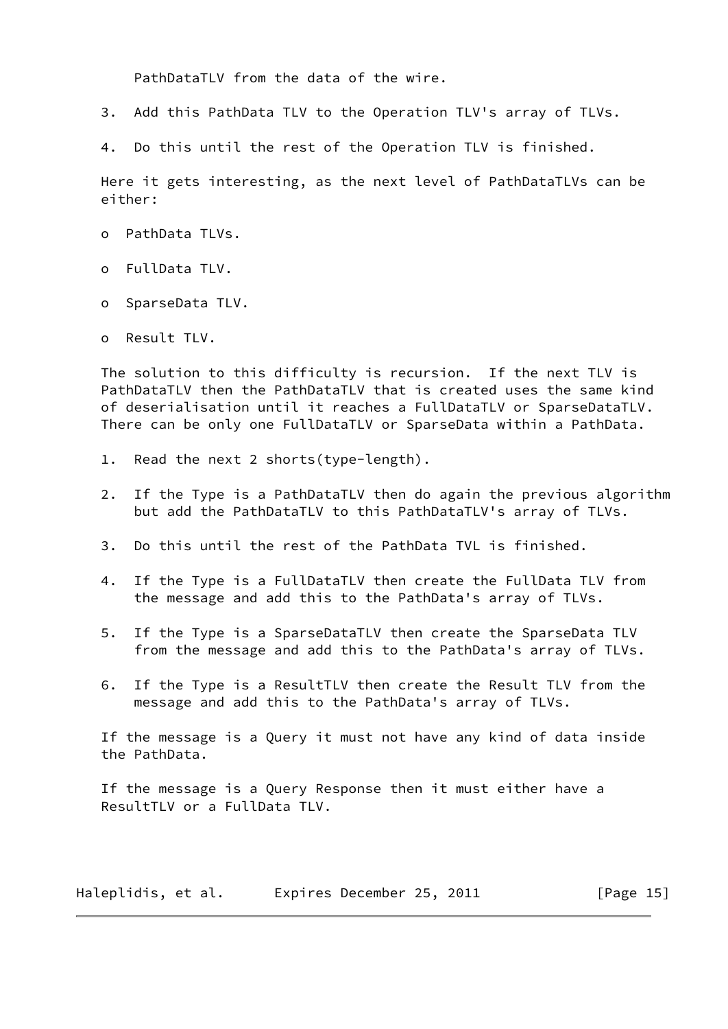PathDataTLV from the data of the wire.

- 3. Add this PathData TLV to the Operation TLV's array of TLVs.
- 4. Do this until the rest of the Operation TLV is finished.

 Here it gets interesting, as the next level of PathDataTLVs can be either:

- o PathData TLVs.
- o FullData TLV.
- o SparseData TLV.
- o Result TLV.

 The solution to this difficulty is recursion. If the next TLV is PathDataTLV then the PathDataTLV that is created uses the same kind of deserialisation until it reaches a FullDataTLV or SparseDataTLV. There can be only one FullDataTLV or SparseData within a PathData.

- 1. Read the next 2 shorts(type-length).
- 2. If the Type is a PathDataTLV then do again the previous algorithm but add the PathDataTLV to this PathDataTLV's array of TLVs.
- 3. Do this until the rest of the PathData TVL is finished.
- 4. If the Type is a FullDataTLV then create the FullData TLV from the message and add this to the PathData's array of TLVs.
- 5. If the Type is a SparseDataTLV then create the SparseData TLV from the message and add this to the PathData's array of TLVs.
- 6. If the Type is a ResultTLV then create the Result TLV from the message and add this to the PathData's array of TLVs.

 If the message is a Query it must not have any kind of data inside the PathData.

 If the message is a Query Response then it must either have a ResultTLV or a FullData TLV.

Haleplidis, et al. Expires December 25, 2011 [Page 15]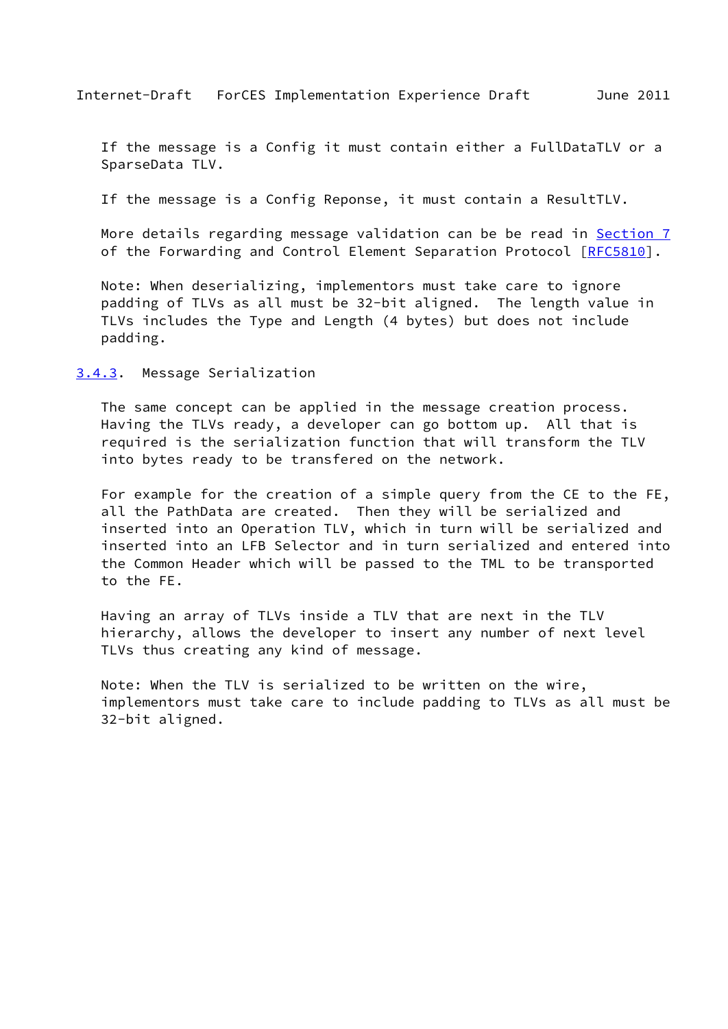<span id="page-17-1"></span> If the message is a Config it must contain either a FullDataTLV or a SparseData TLV.

If the message is a Config Reponse, it must contain a ResultTLV.

More details regarding message validation can be be read in [Section 7](#page-21-0) of the Forwarding and Control Element Separation Protocol [[RFC5810](https://datatracker.ietf.org/doc/pdf/rfc5810)].

 Note: When deserializing, implementors must take care to ignore padding of TLVs as all must be 32-bit aligned. The length value in TLVs includes the Type and Length (4 bytes) but does not include padding.

<span id="page-17-0"></span>[3.4.3](#page-17-0). Message Serialization

 The same concept can be applied in the message creation process. Having the TLVs ready, a developer can go bottom up. All that is required is the serialization function that will transform the TLV into bytes ready to be transfered on the network.

 For example for the creation of a simple query from the CE to the FE, all the PathData are created. Then they will be serialized and inserted into an Operation TLV, which in turn will be serialized and inserted into an LFB Selector and in turn serialized and entered into the Common Header which will be passed to the TML to be transported to the FE.

 Having an array of TLVs inside a TLV that are next in the TLV hierarchy, allows the developer to insert any number of next level TLVs thus creating any kind of message.

 Note: When the TLV is serialized to be written on the wire, implementors must take care to include padding to TLVs as all must be 32-bit aligned.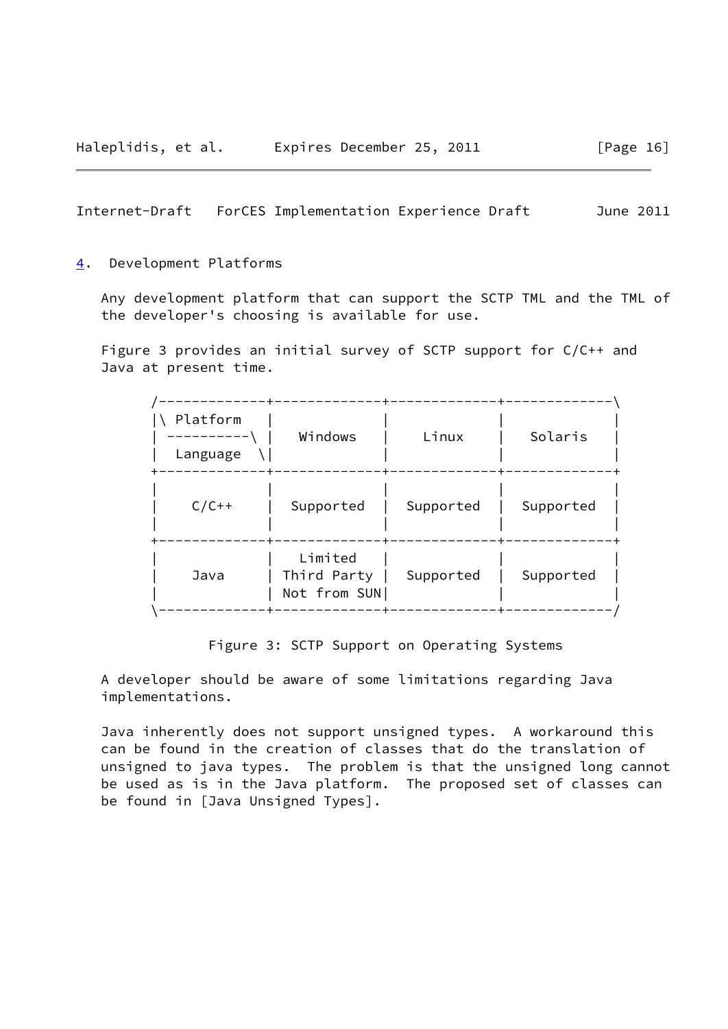#### <span id="page-18-1"></span><span id="page-18-0"></span>[4](#page-18-0). Development Platforms

 Any development platform that can support the SCTP TML and the TML of the developer's choosing is available for use.

 Figure 3 provides an initial survey of SCTP support for C/C++ and Java at present time.

| Platform<br>Language | Windows                                | Linux     | Solaris   |
|----------------------|----------------------------------------|-----------|-----------|
| $C/C++$              | Supported                              | Supported | Supported |
| Java                 | Limited<br>Third Party<br>Not from SUN | Supported | Supported |

Figure 3: SCTP Support on Operating Systems

 A developer should be aware of some limitations regarding Java implementations.

 Java inherently does not support unsigned types. A workaround this can be found in the creation of classes that do the translation of unsigned to java types. The problem is that the unsigned long cannot be used as is in the Java platform. The proposed set of classes can be found in [Java Unsigned Types].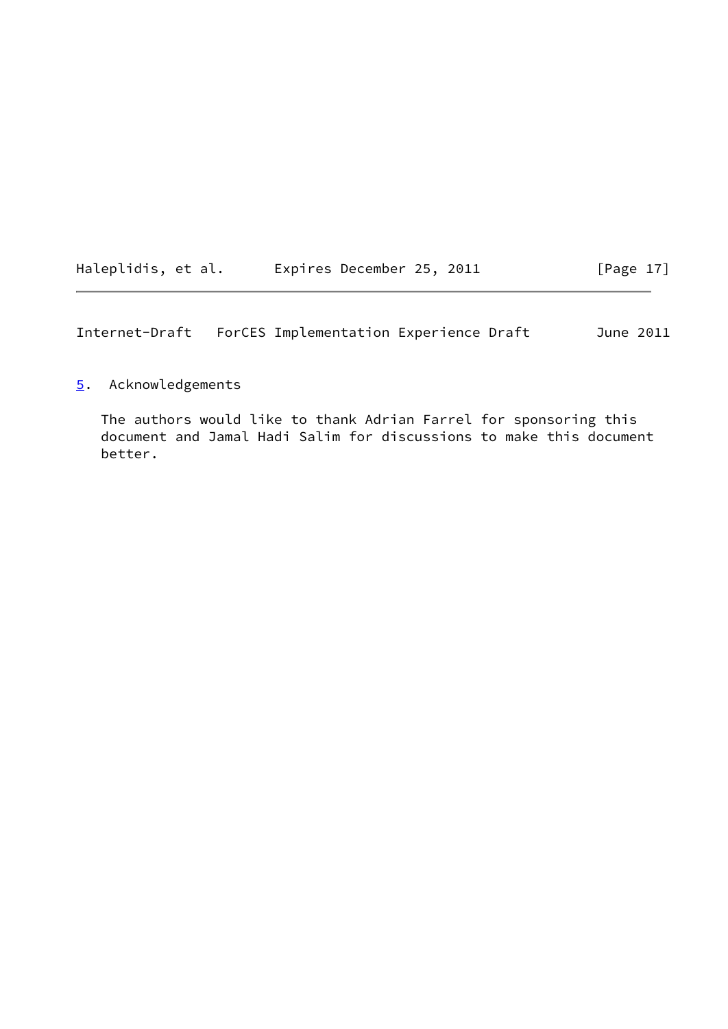<span id="page-19-1"></span>

| Haleplidis, et al. | Expires December 25, 2011 | [Page 17] |
|--------------------|---------------------------|-----------|
|                    |                           |           |

# <span id="page-19-0"></span>[5](#page-19-0). Acknowledgements

 The authors would like to thank Adrian Farrel for sponsoring this document and Jamal Hadi Salim for discussions to make this document better.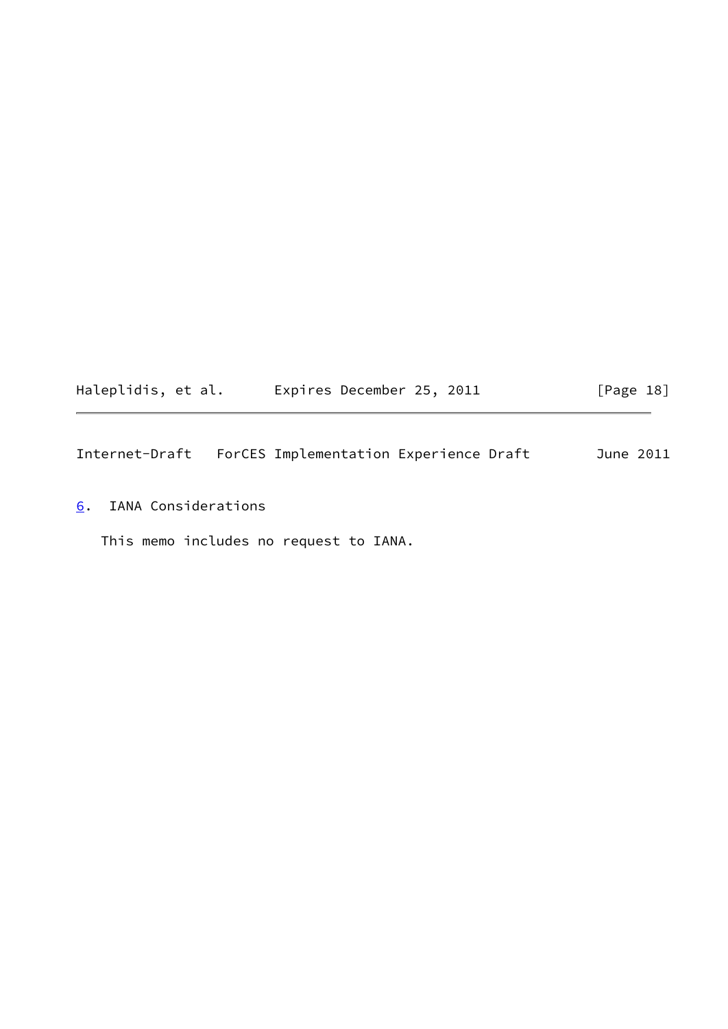<span id="page-20-1"></span>

| Haleplidis, et al. | Expires December 25, 2011 | [Page 18] |
|--------------------|---------------------------|-----------|
|--------------------|---------------------------|-----------|

<span id="page-20-0"></span>[6](#page-20-0). IANA Considerations

This memo includes no request to IANA.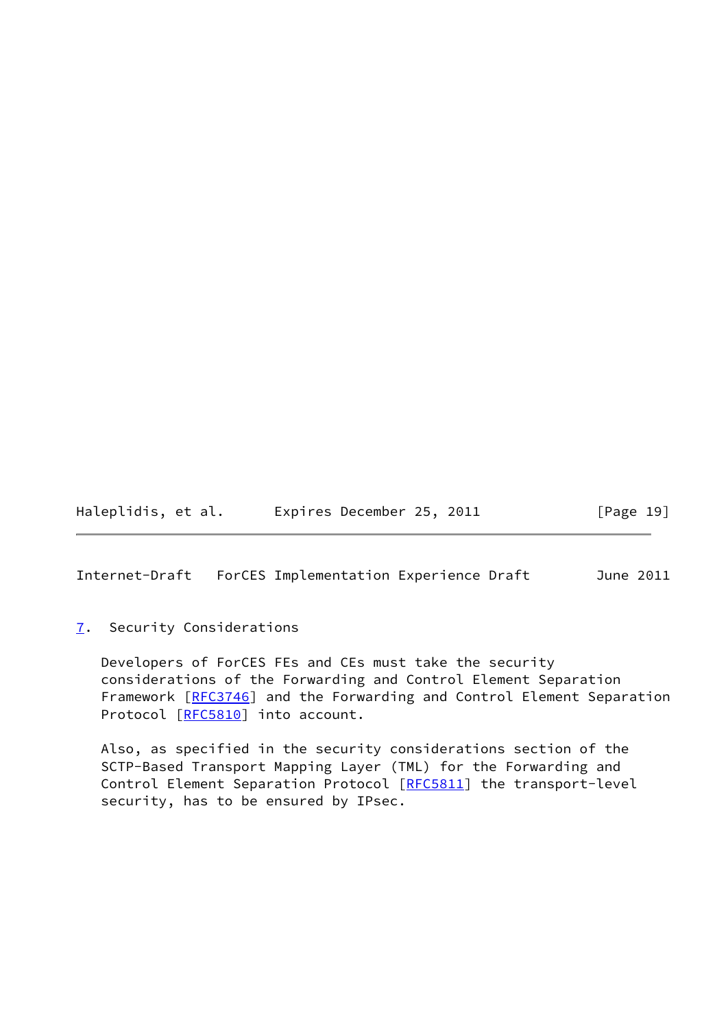Haleplidis, et al. Expires December 25, 2011 [Page 19]

<span id="page-21-1"></span>Internet-Draft ForCES Implementation Experience Draft June 2011

## <span id="page-21-0"></span>[7](#page-21-0). Security Considerations

 Developers of ForCES FEs and CEs must take the security considerations of the Forwarding and Control Element Separation Framework [[RFC3746](https://datatracker.ietf.org/doc/pdf/rfc3746)] and the Forwarding and Control Element Separation Protocol [\[RFC5810](https://datatracker.ietf.org/doc/pdf/rfc5810)] into account.

 Also, as specified in the security considerations section of the SCTP-Based Transport Mapping Layer (TML) for the Forwarding and Control Element Separation Protocol [\[RFC5811](https://datatracker.ietf.org/doc/pdf/rfc5811)] the transport-level security, has to be ensured by IPsec.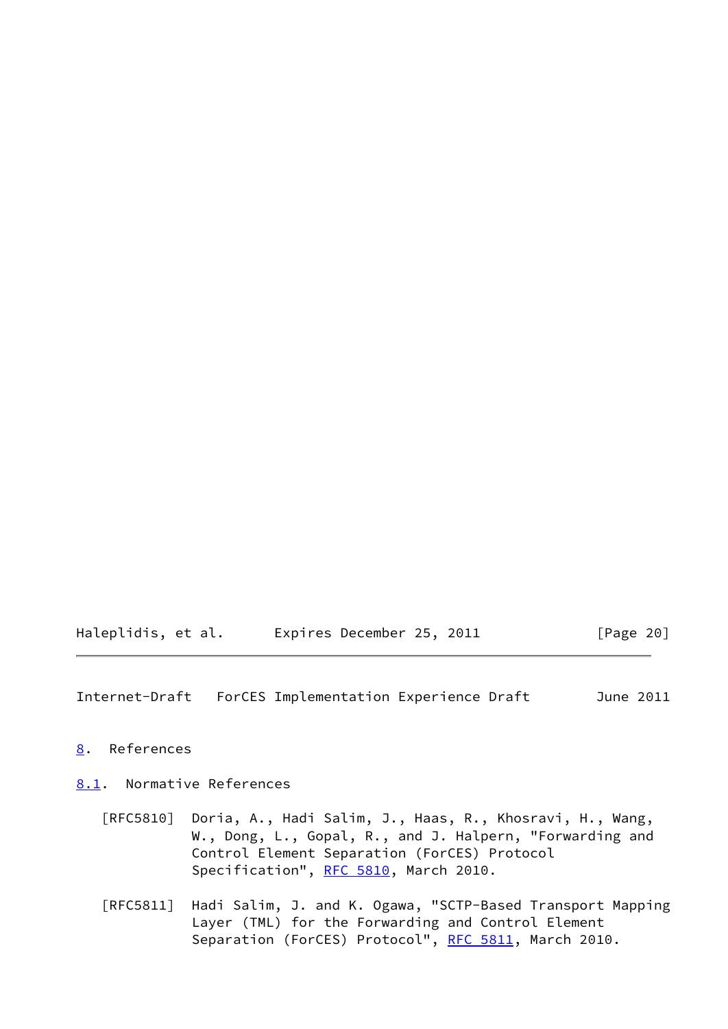Haleplidis, et al. Expires December 25, 2011 [Page 20]

<span id="page-22-1"></span>Internet-Draft ForCES Implementation Experience Draft June 2011

<span id="page-22-0"></span>[8](#page-22-0). References

<span id="page-22-2"></span>[8.1](#page-22-2). Normative References

- [RFC5810] Doria, A., Hadi Salim, J., Haas, R., Khosravi, H., Wang, W., Dong, L., Gopal, R., and J. Halpern, "Forwarding and Control Element Separation (ForCES) Protocol Specification", [RFC 5810,](https://datatracker.ietf.org/doc/pdf/rfc5810) March 2010.
- [RFC5811] Hadi Salim, J. and K. Ogawa, "SCTP-Based Transport Mapping Layer (TML) for the Forwarding and Control Element Separation (ForCES) Protocol", [RFC 5811](https://datatracker.ietf.org/doc/pdf/rfc5811), March 2010.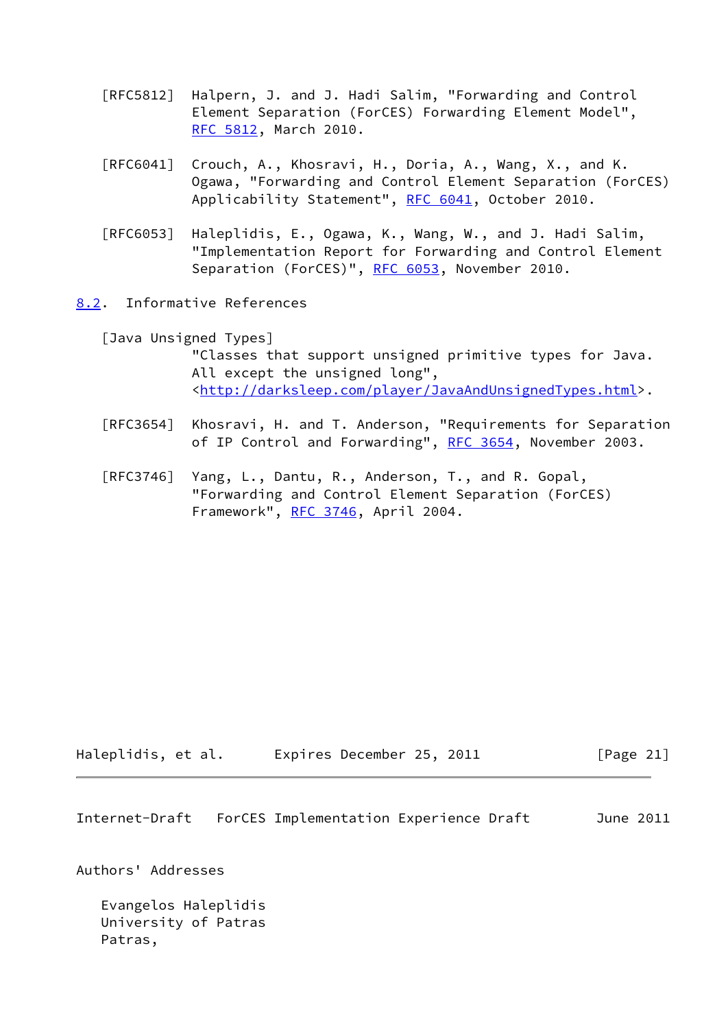- [RFC5812] Halpern, J. and J. Hadi Salim, "Forwarding and Control Element Separation (ForCES) Forwarding Element Model", [RFC 5812,](https://datatracker.ietf.org/doc/pdf/rfc5812) March 2010.
- [RFC6041] Crouch, A., Khosravi, H., Doria, A., Wang, X., and K. Ogawa, "Forwarding and Control Element Separation (ForCES) Applicability Statement", [RFC 6041](https://datatracker.ietf.org/doc/pdf/rfc6041), October 2010.
- [RFC6053] Haleplidis, E., Ogawa, K., Wang, W., and J. Hadi Salim, "Implementation Report for Forwarding and Control Element Separation (ForCES)", [RFC 6053](https://datatracker.ietf.org/doc/pdf/rfc6053), November 2010.
- <span id="page-23-0"></span>[8.2](#page-23-0). Informative References

 [Java Unsigned Types] "Classes that support unsigned primitive types for Java. All except the unsigned long", <[http://darksleep.com/player/JavaAndUnsignedTypes.html>](http://darksleep.com/player/JavaAndUnsignedTypes.html).

- [RFC3654] Khosravi, H. and T. Anderson, "Requirements for Separation of IP Control and Forwarding", [RFC 3654](https://datatracker.ietf.org/doc/pdf/rfc3654), November 2003.
- [RFC3746] Yang, L., Dantu, R., Anderson, T., and R. Gopal, "Forwarding and Control Element Separation (ForCES) Framework", [RFC 3746,](https://datatracker.ietf.org/doc/pdf/rfc3746) April 2004.

Haleplidis, et al. Expires December 25, 2011 [Page 21]

<span id="page-23-1"></span>Internet-Draft ForCES Implementation Experience Draft June 2011

Authors' Addresses

 Evangelos Haleplidis University of Patras Patras,